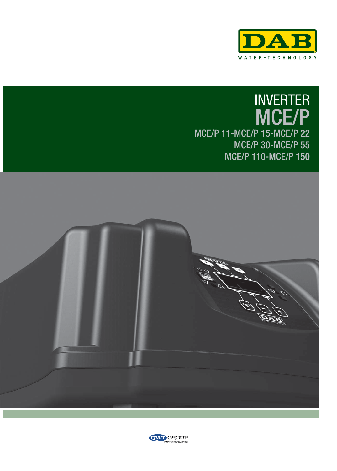

# INVERTER MCE/P MCE/P 11-MCE/P 15-MCE/P 22 MCE/P 30-MCE/P 55 MCE/P 110-MCE/P 150



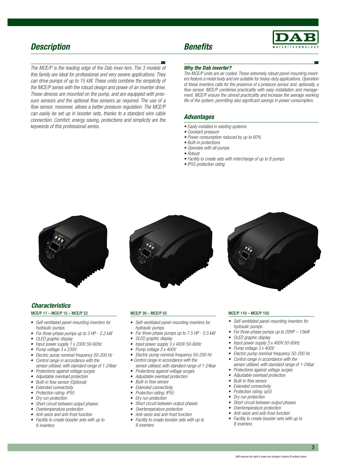# *Description*

The MCE/P is the leading edge of the Dab inver-ters. The 3 models of this family are ideal for professional and very severe applications. They can drive pumps of up to 15 kW. These units combine the simplicity of the MCE/P series with the robust design and power of an inverter drive. These devices are mounted on the pump, and are equipped with pressure sensors and the optional flow sensors as required. The use of a flow sensor, moreover, allows a better pressure regulation. The MCE/P can easily be set up in booster sets, thanks to a standard wire cable connection. Comfort, energy saving, protections and simplicity are the keywords of this professional series.

# *Benefits*



## *Why the Dab inverter?*

The MCE/P units are air cooled. These extremely robust panel-mounting inverters feature a metal body and are suitable for heavy-duty applications. Operation of these inverters calls for the presence of a pressure sensor and, optionally, a flow sensor. MCE/P combines practicality with easy installation and management. MCE/P ensure the utmost practicality and increase the average working life of the system, permitting also significant savings in power consumption.

## *Advantages*

- Easily installed in existing systems
- Constant pressure
- Power consumption reduced by up to 60%
- Built-in protections
- Operates with all pumps
- Robust
- Facility to create sets with interchange of up to 8 pumps
- IP55 protection rating



## *Characteristics*

#### MCE/P 11 – MCE/P 15 – MCE/P 22 MCE/P 30 – MCE/P 55 MCE/P 110 – MCE/P 150

- Self-ventilated panel-mounting inverters for hydraulic pumps.
- For three-phase pumps up to 3 HP 2.2 kW
- OLED graphic display
- Input power supply 1 x 230V 50-60Hz
- Pump voltage 3 x 230V
- Electric pump nominal frequency 50-200 Hz
- Control range in accordance with the sensor utilised, with standard range of 1-24bar
- Protections against voltage surges
- Adjustable overload protection
- **Built-in flow sensor (Optional)**
- Extended connectivity
- Protection rating: IP55
- Dry run protection
- Short circuit between output phases
- Overtemperature protection
- Anti-seize and anti-frost function
- Facility to create booster sets with up to 8 inverters





- Self-ventilated panel-mounting inverters for hydraulic pumps.
- For three-phase pumps up to 7.5 HP 5.5 kW
	- OLED graphic display
- Input power supply 3 x 400V 50-60Hz
- Pump voltage 3 x 400V
- Electric pump nominal frequency 50-200 Hz
- Control range in accordance with the sensor utilised, with standard range of 1-24bar
- Protections against voltage surges
- Adjustable overload protection
- **Built-in flow sensor**
- **Extended connectivity**
- Protection rating: IP55
- Dry run protection
- Short circuit between output phases
- Overtemperature protection
- Anti-seize and anti-frost function
- Facility to create booster sets with up to 8 inverters

- Self-ventilated panel-mounting inverters for hydraulic pumps.
- For three-phase pumps up to 20HP 15kW
- OLED graphic display
- Input power supply 3 x 400V 50-60Hz
- Pump voltage 3 x 400V
- Electric pump nominal frequency 50-200 Hz<br>• Control range in accordance with the
- Control range in accordance with the
- sensor utilised, with standard range of 1-24bar • Protections against voltage surges
- Adjustable overload protection
- **Built-in flow sensor**
- **Extended connectivity**
- Protection rating: ip55
- Dry run protection
- Short circuit between output phases
- Overtemperature protection
- Anti-seize and anti-frost function
- Facility to create booster sets with up to 8 inverters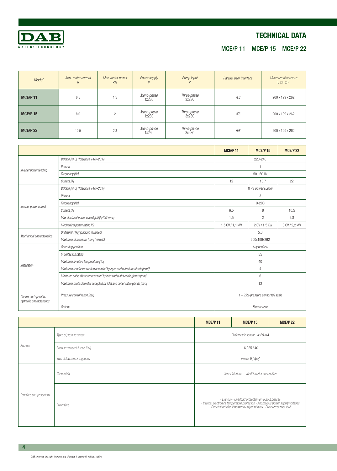

# **TECHNICAL DATA**

## MCE/P 11 – MCE/P 15 – MCE/P 22

| Model          | Max. motor current<br>A | Max. motor power<br><b>kW</b> | Power supply        | Pump Input           | Parallel user interface | Maximum dimensions<br>$L \times H \times P$ |
|----------------|-------------------------|-------------------------------|---------------------|----------------------|-------------------------|---------------------------------------------|
| <b>MCE/P11</b> | 6.5                     | 1.5                           | Mono-phase<br>1x230 | Three-phase<br>3x230 | <b>YES</b>              | 200 x 199 x 262                             |
| <b>MCE/P15</b> | 8,0                     |                               | Mono-phase<br>1x230 | Three-phase<br>3x230 | <b>YES</b>              | 200 x 199 x 262                             |
| <b>MCE/P22</b> | 10.5                    | 2.8                           | Mono-phase<br>1x230 | Three-phase<br>3x230 | <b>YES</b>              | 200 x 199 x 262                             |

|                                                    |                                                                        | <b>MCE/P11</b>                     | <b>MCE/P15</b>     | <b>MCE/P22</b> |  |
|----------------------------------------------------|------------------------------------------------------------------------|------------------------------------|--------------------|----------------|--|
|                                                    | Voltage [VAC] (Tolerance +10/-20%)                                     | 220-240                            |                    |                |  |
|                                                    | Phases                                                                 |                                    | $\overline{1}$     |                |  |
| Inverter power feeding                             | Frequency [Hz]                                                         |                                    | $50 - 60$ Hz       |                |  |
|                                                    | Current [A]                                                            | 12                                 | 18,7               | 22             |  |
|                                                    | Voltage [VAC] (Tolerance +10/-20%)                                     |                                    | 0 - V power supply |                |  |
|                                                    | Phases                                                                 |                                    | 3                  |                |  |
| Inverter power output                              | Frequency [Hz]                                                         |                                    | $0 - 200$          |                |  |
|                                                    | Current [A]                                                            | 6,5                                | 8                  | 10.5           |  |
|                                                    | Max electrical power output [kVA] (400 Vrms)                           | 1,5                                | $\mathfrak{p}$     | 2.8            |  |
|                                                    | Mechanical power rating P2                                             | 1,5 CV / 1,1 kW                    | 2 CV / 1,5 Kw      | 3 CV / 2,2 kW  |  |
| Mechanical characteristics                         | Unit weight [kg] (packing included)                                    | 5.0                                |                    |                |  |
|                                                    | Maximum dimensions [mm] (WxHxD)                                        | 200x199x262                        |                    |                |  |
|                                                    | Operating position                                                     | Any position                       |                    |                |  |
|                                                    | IP protection rating                                                   | 55                                 |                    |                |  |
| Installation                                       | Maximum ambient temperature [°C]                                       |                                    | 40                 |                |  |
|                                                    | Maximum conductor section accepted by input and output terminals [mm2] |                                    | $\overline{4}$     |                |  |
|                                                    | Minimum cable diameter accepted by inlet and outlet cable glands [mm]  | 6                                  |                    |                |  |
|                                                    | Maximum cable diameter accepted by inlet and outlet cable glands [mm]  |                                    | 12                 |                |  |
| Control and operation<br>hydraulic characteristics | Pressure control range [bar]                                           | 1 - 95% pressure sensor full scale |                    |                |  |
|                                                    | Options                                                                | Flow sensor                        |                    |                |  |

|                           |                                   | <b>MCE/P11</b>                                                                                                                                                                                           | <b>MCE/P15</b> | <b>MCE/P 22</b> |  |
|---------------------------|-----------------------------------|----------------------------------------------------------------------------------------------------------------------------------------------------------------------------------------------------------|----------------|-----------------|--|
| Sensors                   | Types of pressure sensor          | Ratiometric sensor - 4:20 mA                                                                                                                                                                             |                |                 |  |
|                           | Pressure sensors full scale [bar] | 16/25/40                                                                                                                                                                                                 |                |                 |  |
|                           | Type of flow sensor supported     | Pulses 5 [Vpp]                                                                                                                                                                                           |                |                 |  |
| Functions and protections | Connectivity                      | Serial interface - Multi inverter connection                                                                                                                                                             |                |                 |  |
|                           | Protections                       | - Dry-run - Overload protection on output phases<br>hternal electronics temperature protection - Anomalous power supply voltages<br>- Direct short circuit between output phases - Pressure sensor fault |                |                 |  |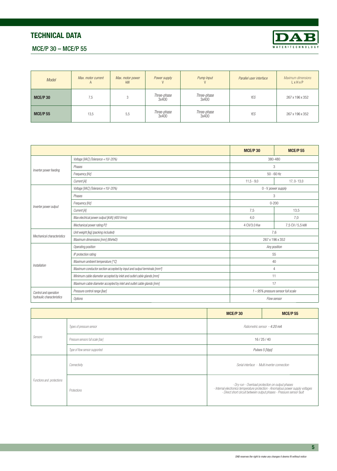# **TECHNICAL DATA**



## MCE/P 30 – MCE/P 55

| Model           | Max. motor current<br>$\overline{H}$ | Max. motor power<br><b>kW</b> | Power supply         | Pump Input           | Parallel user interface | Maximum dimensions<br>$L \times H \times P$ |
|-----------------|--------------------------------------|-------------------------------|----------------------|----------------------|-------------------------|---------------------------------------------|
| <b>MCE/P 30</b> | 7,5                                  |                               | Three-phase<br>3x400 | Three-phase<br>3x400 | YES                     | 267 x 196 x 352                             |
| <b>MCE/P 55</b> | 13,5                                 | 5,5                           | Three-phase<br>3x400 | Three-phase<br>3x400 | YES                     | 267 x 196 x 352                             |

|                            |                                                                        | <b>MCE/P 30</b>                  | <b>MCE/P 55</b> |  |
|----------------------------|------------------------------------------------------------------------|----------------------------------|-----------------|--|
|                            | Voltage [VAC] (Tolerance +10/-20%)                                     | 380-480                          |                 |  |
|                            | Phases                                                                 | 3                                |                 |  |
| Inverter power feeding     | Frequency [Hz]                                                         | $50 - 60$ Hz                     |                 |  |
|                            | Current [A]                                                            | $11,5 - 9,0$                     | 17, 0-13,0      |  |
|                            | Voltage [VAC] (Tolerance +10/-20%)                                     | 0 - V power supply               |                 |  |
|                            | Phases                                                                 | 3                                |                 |  |
|                            | Frequency [Hz]                                                         | $0 - 200$                        |                 |  |
| Inverter power output      | Current [A]                                                            | 7,5                              | 13,5            |  |
|                            | Max electrical power output [kVA] (400 Vrms)                           | 4,0                              | 7,0             |  |
|                            | Mechanical power rating P2                                             | 4 CV/3.0 Kw                      | 7,5 CV / 5,5 kW |  |
| Mechanical characteristics | Unit weight [kg] (packing included)                                    | 7,6                              |                 |  |
|                            | Maximum dimensions [mm] (WxHxD)                                        | 267 x 196 x 352                  |                 |  |
|                            | Operating position                                                     | Any position                     |                 |  |
|                            | IP protection rating                                                   | 55                               |                 |  |
| Installation               | Maximum ambient temperature [°C]                                       | 40                               |                 |  |
|                            | Maximum conductor section accepted by input and output terminals [mm2] | $\overline{4}$                   |                 |  |
|                            | Minimum cable diameter accepted by inlet and outlet cable glands [mm]  | 11                               |                 |  |
|                            | Maximum cable diameter accepted by inlet and outlet cable glands [mm]  | 17                               |                 |  |
| Control and operation      | Pressure control range [bar]                                           | 1-95% pressure sensor full scale |                 |  |
| hydraulic characteristics  | <b>Options</b>                                                         | Flow sensor                      |                 |  |

|                           |                                   | <b>MCE/P30</b>                                                                                                                                                                                        | <b>MCE/P 55</b> |  |
|---------------------------|-----------------------------------|-------------------------------------------------------------------------------------------------------------------------------------------------------------------------------------------------------|-----------------|--|
|                           | Types of pressure sensor          | Ratiometric sensor - 4:20 mA                                                                                                                                                                          |                 |  |
| Sensors                   | Pressure sensors full scale [bar] | 16/25/40                                                                                                                                                                                              |                 |  |
|                           | Type of flow sensor supported     | Pulses 5 [Vpp]                                                                                                                                                                                        |                 |  |
| Functions and protections | Connectivity                      | Serial interface - Multi inverter connection                                                                                                                                                          |                 |  |
|                           | Protections                       | - Dry-run - Overload protection on output phases<br>hternal electronics temperature protection - Anomalous power supply voltages - Direct short circuit between output phases - Pressure sensor fault |                 |  |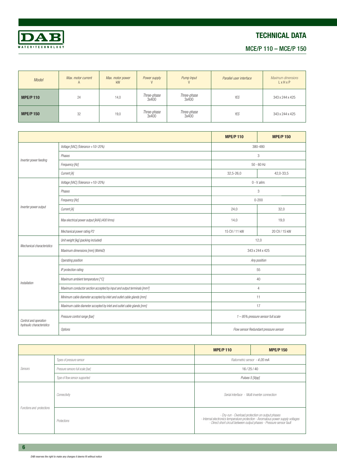

# **TECHNICAL DATA**

## MCE/P 110 – MCE/P 150

| Model            | Max. motor current<br>A | Max. motor power<br><b>kW</b> | Power supply         | Pump Input           | Parallel user interface | Maximum dimensions<br>$L \times H \times P$ |
|------------------|-------------------------|-------------------------------|----------------------|----------------------|-------------------------|---------------------------------------------|
| <b>MPE/P 110</b> | 24                      | 14,0                          | Three-phase<br>3x400 | Three-phase<br>3x400 | YES                     | 343 x 244 x 425                             |
| <b>MPE/P 150</b> | 32                      | 19,0                          | Three-phase<br>3x400 | Three-phase<br>3x400 | <b>YES</b>              | 343 x 244 x 425                             |

|                            |                                                                        | <b>MPE/P110</b>                       | <b>MPE/P150</b> |  |
|----------------------------|------------------------------------------------------------------------|---------------------------------------|-----------------|--|
|                            | Voltage [VAC] (Tolerance +10/-20%)                                     | 380-480                               |                 |  |
| Inverter power feeding     | Phases                                                                 |                                       | 3               |  |
|                            | Frequency [Hz]                                                         |                                       | $50 - 60$ Hz    |  |
|                            | Current [A]                                                            | $32,5 - 26,0$                         | 42,0-33,5       |  |
|                            | Voltage [VAC] (Tolerance +10/-20%)                                     |                                       | $0 - V$ alim.   |  |
|                            | Phases                                                                 |                                       | 3               |  |
|                            | Frequency [Hz]                                                         |                                       | $0 - 200$       |  |
| Inverter power output      | Current [A]                                                            | 24,0                                  | 32,0            |  |
|                            | Max electrical power output [kVA] (400 Vrms)                           | 14,0                                  | 19,0            |  |
|                            | Mechanical power rating P2                                             | 15 CV / 11 kW                         | 20 CV / 15 kW   |  |
|                            | Unit weight [kg] (packing included)                                    | 12,0                                  |                 |  |
| Mechanical characteristics | Maximum dimensions [mm] (WxHxD)                                        | 343 x 244 x 425                       |                 |  |
|                            | Operating position                                                     | Any position                          |                 |  |
|                            | IP protection rating                                                   | 55                                    |                 |  |
| Installation               | Maximum ambient temperature [°C]                                       | 40                                    |                 |  |
|                            | Maximum conductor section accepted by input and output terminals [mm2] |                                       | $\overline{4}$  |  |
|                            | Minimum cable diameter accepted by inlet and outlet cable glands [mm]  |                                       | 11              |  |
|                            | Maximum cable diameter accepted by inlet and outlet cable glands [mm]  |                                       | 17              |  |
| Control and operation      | Pressure control range [bar]                                           | 1-95% pressure sensor full scale      |                 |  |
| hydraulic characteristics  | Options                                                                | Flow sensor Redundant pressure sensor |                 |  |

|                           |                                   | <b>MPE/P110</b>                                                                                                                                                                                             | <b>MPE/P 150</b> |  |
|---------------------------|-----------------------------------|-------------------------------------------------------------------------------------------------------------------------------------------------------------------------------------------------------------|------------------|--|
|                           | Types of pressure sensor          | Ratiometric sensor - 4:20 mA                                                                                                                                                                                |                  |  |
| Sensors                   | Pressure sensors full scale [bar] | 16/25/40                                                                                                                                                                                                    |                  |  |
|                           | Type of flow sensor supported     | Pulses 5 [Vpp]                                                                                                                                                                                              |                  |  |
| Functions and protections | Connectivity                      | Serial interface - Multi inverter connection                                                                                                                                                                |                  |  |
|                           | Protections                       | - Dry-run - Overload protection on output phases<br>- Internal electronics temperature protection - Anomalous power supply voltages<br>- Direct short circuit between output phases - Pressure sensor fault |                  |  |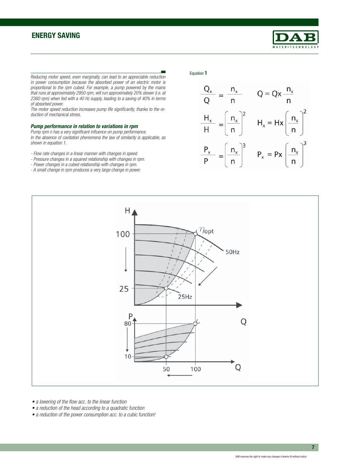## **ENERGY SAVING**



Reducing motor speed, even marginally, can lead to an appreciable reduction in power consumption because the absorbed power of an electric motor is proportional to the rpm cubed. For example, a pump powered by the mains that runs at approximately 2950 rpm, will run approximately 20% slower (i.e. at 2360 rpm) when fed with a 40 Hz supply, leading to a saving of 40% in terms of absorbed power.

The motor speed reduction increases pump life significantly, thanks to the reduction of mechanical stress.

## *Pump performance in relation to variations in rpm*

Pump rpm n has a very significant influence on pump performance. In the absence of cavitation phenomena the law of similarity is applicable, as shown in equation 1.

- Flow rate changes in a linear manner with changes in speed.
- Pressure changes in a squared relationship with changes in rpm.
- Power changes in a cubed relationship with changes in rpm.
- A small change in rpm produces a very large change in power.

Equation **1**





- $\bullet$  a lowering of the flow acc. to the linear function
- a reduction of the head according to a quadratic function
- a reduction of the power consumption acc. to a cubic function!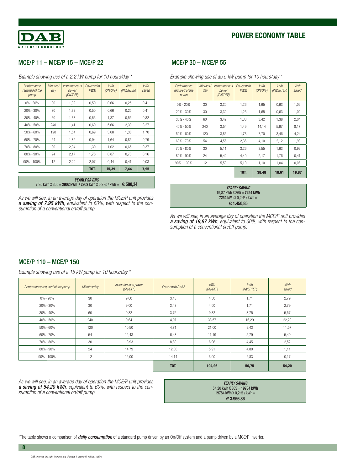## **POWER ECONOMY TABLE**



## MCE/P 11 – MCE/P 15 – MCE/P 22

| Performance<br>required of the<br>pump                                                                | Minutes/<br>day | Instantaneous<br>power<br>(ON/OFF) | Power with<br><b>PWM</b> | kWh<br>(ON/OFF) | kWh<br>(INVERTER) | kWh<br>saved |  |
|-------------------------------------------------------------------------------------------------------|-----------------|------------------------------------|--------------------------|-----------------|-------------------|--------------|--|
| 0% - 20%                                                                                              | 30              | 1,32                               | 0,50                     | 0,66            | 0,25              | 0,41         |  |
| 20% - 30%                                                                                             | 30              | 1,32                               | 0,50                     | 0,66            | 0.25              | 0,41         |  |
| $30\% - 40\%$                                                                                         | 60              | 1,37                               | 0,55                     | 1,37            | 0,55              | 0,82         |  |
| 40% - 50%                                                                                             | 240             | 1,41                               | 0,60                     | 5,66            | 2,39              | 3,27         |  |
| 50% - 60%                                                                                             | 120             | 1,54                               | 0,69                     | 3,08            | 1,38              | 1,70         |  |
| 60% - 70%                                                                                             | 54              | 1,82                               | 0,94                     | 1,64            | 0,85              | 0,79         |  |
| 70% - 80%                                                                                             | 30              | 2,04                               | 1,30                     | 1,02            | 0.65              | 0,37         |  |
| 80% - 90%                                                                                             | 24              | 2,17                               | 1,76                     | 0,87            | 0,70              | 0,16         |  |
| $90\% - 100\%$                                                                                        | 12              | 2,20                               | 2,07                     | 0,44            | 0,41              | 0,03         |  |
| TOT.<br>15,39<br>7,95<br>7,44                                                                         |                 |                                    |                          |                 |                   |              |  |
| <b>YEARLY SAVING</b><br>7,95 kWh X 365 = <b>2902 kWh / 2902</b> kWh X 0,2 € / kWh = $\epsilon$ 580,34 |                 |                                    |                          |                 |                   |              |  |

Example showing use of a 2,2 kW pump for 10 hours/day \*

As we will see, in an average day of operation the MCE/P unit provides a saving of 7,95 kWh, equivalent to 60%, with respect to the consumption of a conventional on/off pump.

## MCE/P 30 – MCE/P 55

Example showing use of a5,5 kW pump for 10 hours/day \*

| Performance<br>required of the<br>pump | Minutes/<br>day | <i><b>Instantaneous</b></i><br>power<br>(ON/OFF) | Power with<br><b>PWM</b> | kWh<br>(ON/OFF) | kWh<br>(INVERTER) | kWh<br>saved |
|----------------------------------------|-----------------|--------------------------------------------------|--------------------------|-----------------|-------------------|--------------|
| $0\% - 20\%$                           | 30              | 3,30                                             | 1,26                     | 1,65            | 0,63              | 1,02         |
| 20% - 30%                              | 30              | 3.30                                             | 1.26                     | 1.65            | 0.63              | 1,02         |
| $30\% - 40\%$                          | 60              | 3,42                                             | 1,38                     | 3,42            | 1,38              | 2,04         |
| 40% - 50%                              | 240             | 3,54                                             | 1,49                     | 14,14           | 5,97              | 8,17         |
| 50% - 60%                              | 120             | 3,85                                             | 1,73                     | 7,70            | 3,46              | 4,24         |
| 60% - 70%                              | 54              | 4.56                                             | 2,36                     | 4.10            | 2,12              | 1,98         |
| 70% - 80%                              | 30              | 5,11                                             | 3,26                     | 2,55            | 1,63              | 0,92         |
| 80% - 90%                              | 24              | 5,42                                             | 4.40                     | 2,17            | 1,76              | 0,41         |
| 90% - 100%                             | 12              | 5,50                                             | 5,19                     | 1,10            | 1,04              | 0,06         |
|                                        |                 |                                                  | TOT.                     | 38,48           | 18,61             | 19,87        |

*YEARLY SAVING*  19,87 kWh X 365 = **7254 kWh 7254** kWh X 0,2 € / kWh = **€ 1.450,85**

As we will see, in an average day of operation the MCE/P unit provides a saving of 19,87 kWh, equivalent to 60%, with respect to the consumption of a conventional on/off pump.

## MCE/P 110 – MCE/P 150

Example showing use of a 15 kW pump for 10 hours/day \*

| Performance required of the pump | Minutes/day | Instantaneous power<br>(ON/OFF) | Power with PWM | kWh<br>(ON/OFF) | KWh<br>(INVERTER) | KWh<br>saved |
|----------------------------------|-------------|---------------------------------|----------------|-----------------|-------------------|--------------|
| $0\% - 20\%$                     | 30          | 9,00                            | 3,43           | 4,50            | 1.71              | 2,79         |
| 20% - 30%                        | 30          | 9,00                            | 3,43           | 4,50            | 1,71              | 2,79         |
| $30\% - 40\%$                    | 60          | 9,32                            | 3,75           | 9,32            | 3,75              | 5,57         |
| 40% - 50%                        | 240         | 9,64                            | 4,07           | 38,57           | 16,29             | 22,29        |
| 50% - 60%                        | 120         | 10,50                           | 4,71           | 21,00           | 9,43              | 11,57        |
| 60% - 70%                        | 54          | 12,43                           | 6,43           | 11,19           | 5,79              | 5,40         |
| 70% - 80%                        | 30          | 13,93                           | 8,89           | 6,96            | 4,45              | 2,52         |
| 80% - 90%                        | 24          | 14,79                           | 12,00          | 5,91            | 4,80              | 1,11         |
| 90% - 100%                       | 12          | 15,00                           | 14,14          | 3,00            | 2,83              | 0,17         |
|                                  |             |                                 | TOT.           | 104,96          | 50,75             | 54,20        |

As we will see, in an average day of operation the MCE/P unit provides a saving of 54,20 kWh, equivalent to 60%, with respect to the consumption of a conventional on/off pump.

| <b>YEARLY SAVING</b>               |
|------------------------------------|
| 54.20 kWh X 365 = <b>19784 kWh</b> |
| 19784 kWh X 0.2 € / kWh =          |
| € 3.956.86                         |

The table shows a comparison of *daily consumption* of a standard pump driven by an On/Off system and a pump driven by a MCE/P inverter.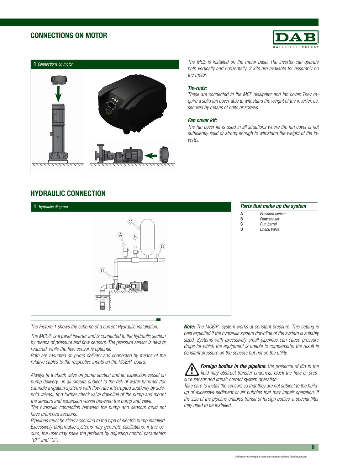



The MCE is installed on the motor base. The inverter can operate both vertically and horizontally. 2 kits are available for assembly on the motor:

## *Tie-rods:*

These are connected to the MCE dissipator and fan cover. They require a solid fan cover able to withstand the weight of the inverter, i.e. secured by means of bolts or screws.

## *Fan cover kit:*

The fan cover kit is used in all situations where the fan cover is not sufficiently solid or strong enough to withstand the weight of the inverter.

## **HYDRAULIC CONNECTION**



The Picture 1 shows the scheme of a correct Hydraulic installation.

The MCE/P is a panel inverter and is connected to the hydraulic section by means of pressure and flow sensors. The pressure sensor is always required, while the flow sensor is optional.

Both are mounted on pump delivery and connected by means of the relative cables to the respective inputs on the MCE/P board.

Always fit a check valve on pump suction and an expansion vessel on pump delivery. In all circuits subject to the risk of water hammer (for example irrigation systems with flow rate interrupted suddenly by solenoid valves), fit a further check valve downline of the pump and mount the sensors and expansion vessel between the pump and valve.

The hydraulic connection between the pump and sensors must not have branched sections.

Pipelines must be sized according to the type of electric pump installed. Excessively deformable systems may generate oscillations; if this occurs, the user may solve the problem by adjusting control parameters "GP" and "GI".

*Note:* The MCE/P system works at constant pressure. This setting is best exploited if the hydraulic system downline of the system is suitably sized. Systems with excessively small pipelines can cause pressure drops for which the equipment is unable to compensate; the result is constant pressure on the sensors but not on the utility.

*Foreign bodies in the pipeline*: the presence of dirt in the fluid may obstruct transfer channels, block the flow or pressure sensor and impair correct system operation.

Take care to install the sensors so that they are not subject to the buildup of excessive sediment or air bubbles that may impair operation. If the size of the pipeline enables transit of foreign bodies, a special filter may need to be installed.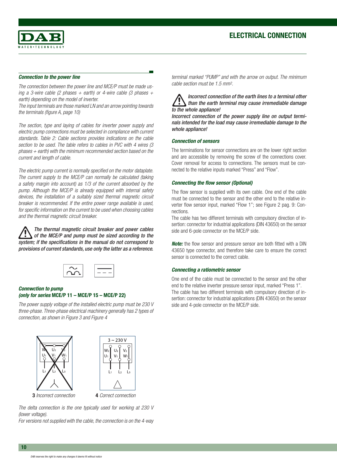



## *Connection to the power line*

The connection between the power line and MCE/P must be made using a 3-wire cable (2 phases  $+$  earth) or 4-wire cable (3 phases  $+$ earth) depending on the model of inverter.

The input terminals are those marked LN and an arrow pointing towards the terminals (figure A, page 10)

The section, type and laying of cables for inverter power supply and electric pump connections must be selected in compliance with current standards. Table 2: Cable sections provides indications on the cable section to be used. The table refers to cables in PVC with 4 wires (3  $phases + earth$ ) with the minimum recommended section based on the current and length of cable.

The electric pump current is normally specified on the motor dataplate. The current supply to the MCE/P can normally be calculated (taking a safety margin into account) as 1/3 of the current absorbed by the pump. Although the MCE/P is already equipped with internal safety devices, the installation of a suitably sized thermal magnetic circuit breaker is recommended. If the entire power range available is used, for specific information on the current to be used when choosing cables and the thermal magnetic circuit breaker.

The thermal magnetic circuit breaker and power cables of the MCE/P and pump must be sized according to the system; if the specifications in the manual do not correspond to provisions of current standards, use only the latter as a reference.



## *Connwction to pump (only for series* **MCE/P 11 – MCE/P 15 – MCE/P 22)**

The power supply voltage of the installed electric pump must be 230 V three-phase. Three-phase electrical machinery generally has 2 types of connection, as shown in Figure 3 and Figure 4



The delta connection is the one typically used for working at 230 V (lower voltage).

For versions not supplied with the cable, the connection is on the 4-way

terminal marked "PUMP" and with the arrow on output. The minimum cable section must be 1.5 mm2.

| Incorrect connection of the earth lines to a terminal other<br>than the earth terminal may cause irremediable damage |
|----------------------------------------------------------------------------------------------------------------------|
|                                                                                                                      |
| to the whole appliance!                                                                                              |

Incorrect connection of the power supply line on output terminals intended for the load may cause irremediable damage to the whole appliance!

### *Connection of sensors*

The terminations for sensor connections are on the lower right section and are accessible by removing the screw of the connections cover. Cover removal for access to connections. The sensors must be connected to the relative inputs marked "Press" and "Flow".

#### *Connecting the flow sensor (Optional)*

The flow sensor is supplied with its own cable. One end of the cable must be connected to the sensor and the other end to the relative inverter flow sensor input, marked "Flow 1"; see Figure 2 pag. 9: Connections.

The cable has two different terminals with compulsory direction of insertion: connector for industrial applications (DIN 43650) on the sensor side and 6-pole connector on the MCE/P side.

**Note:** the flow sensor and pressure sensor are both fitted with a DIN 43650 type connector, and therefore take care to ensure the correct sensor is connected to the correct cable.

#### *Connecting a ratiometric sensor*

One end of the cable must be connected to the sensor and the other end to the relative inverter pressure sensor input, marked "Press 1". The cable has two different terminals with compulsory direction of insertion: connector for industrial applications (DIN 43650) on the sensor side and 4-pole connector on the MCE/P side.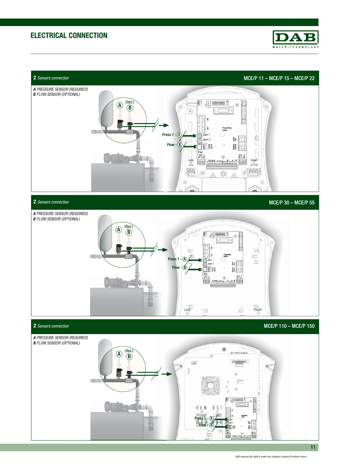



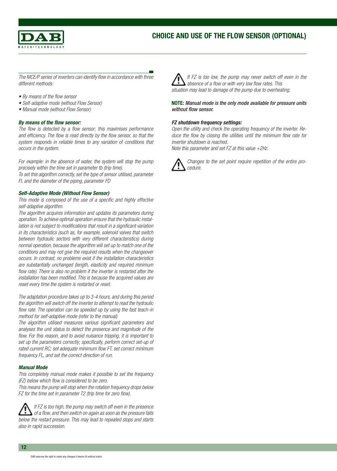

# **CHOICE AND USE OF THE FLOW SENSOR (OPTIONAL)**

The MCE/P series of inverters can identify flow in accordance with three different methods:

- By means of the flow sensor
- Self-adaptive mode (without Flow Sensor)
- Manual mode (without Flow Sensor)

## *By means of the flow sensor:*

The flow is detected by a flow sensor; this maximises performance and efficiency. The flow is read directly by the flow sensor, so that the system responds in reliable times to any variation of conditions that occurs in the system.

For example: in the absence of water, the system will stop the pump precisely within the time set in parameter tb (trip time). To set this algorithm correctly, set the type of sensor utilised, parameter FI, and the diameter of the piping, parameter FD

## *Self-Adaptive Mode (Without Flow Sensor)*

This mode is composed of the use of a specific and highly effective self-adaptive algorithm.

The algorithm acquires information and updates its parameters during operation. To achieve optimal operation ensure that the hydraulic installation is not subject to modifications that result in a significant variation in its characteristics (such as, for example, solenoid valves that switch between hydraulic sectors with very different characteristics) during normal operation, because the algorithm will set up to match one of the conditions and may not give the required results when the changeover occurs. In contrast, no problems exist if the installation characteristics are substantially unchanged (length, elasticity and required minimum flow rate). There is also no problem if the inverter is restarted after the installation has been modified. This is because the acquired values are reset every time the system is restarted or reset.

The adaptation procedure takes up to 3-4 hours, and during this period the algorithm will switch off the inverter to attempt to read the hydraulic flow rate. The operation can be speeded up by using the fast teach-in method for self-adaptive mode (refer to the manual)

The algorithm utilised measures various significant parameters and analyses the unit status to detect the presence and magnitude of the flow. For this reason, and to avoid nuisance tripping, it is important to set up the parameters correctly; specifically, perform correct set-up of rated current RC; set adequate minimum flow FT, set correct minimum frequency FL, and set the correct direction of run.

## *Manual Mode*

This completely manual mode makes it possible to set the frequency (FZ) below which flow is considered to be zero.

This means the pump will stop when the rotation frequency drops below FZ for the time set in parameter T2 (trip time for zero flow).

If FZ is too high, the pump may switch off even in the presence of a flow, and then switch on again as soon as the pressure falls below the restart pressure. This may lead to repeated stops and starts also in rapid succession.



If FZ is too low, the pump may never switch off even in the absence of a flow or with very low flow rates. This situation may lead to damage of the pump due to overheating.

## **NOTE:** Manual mode is the only mode available for pressure units without flow sensor.

## *FZ shutdown frequency settings:*

Open the utility and check the operating frequency of the inverter. Reduce the flow by closing the utilities until the minimum flow rate for inverter shutdown is reached.

Note this parameter and set FZ at this value  $+2$ Hz.



Changes to the set point require repetition of the entire procedure.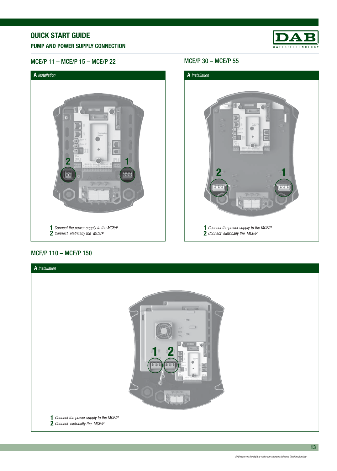## **QUICK START GUIDE**



**PUMP AND POWER SUPPLY CONNECTION**

## MCE/P 11 – MCE/P 15 – MCE/P 22 MCE/P 30 – MCE/P 55



## MCE/P 110 – MCE/P 150



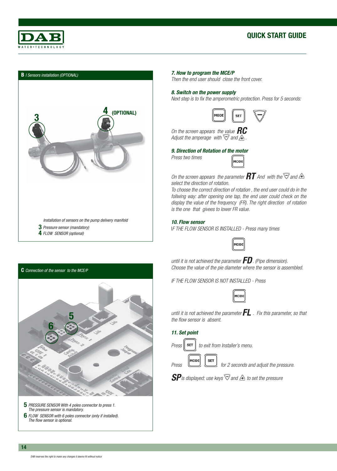## **QUICK START GUIDE**





## *7. How to program the MCE/P*

Then the end user should close the front cover.

## *8. Switch on the power supply*

Next step is to fix the amperometric protection. Press for 5 seconds:



On the screen appears the value *RC* Adjust the amperage with  $\nabla$  and  $\hat{A}$ .

*9. Direction of Rotation of the motor*

Press two times



On the screen appears the parameter  $\boldsymbol{RT}$  and with the  $\triangledown$  and select the direction of rotation.

To choose the correct direction of rotation , the end user could do in the follwing way: after opening one tap, the end user could check on the display the value of the frequency (FR). The right direction of rotation is the one that givees to lower FR value.

## *10. Flow sensor*

IF THE FLOW SENSOR IS INSTALLED - Press many times



until it is not achieved the parameter  $FD$  . (Pipe dimension). Choose the value of the pie diameter where the sensor is assembled.

IF THE FLOW SENSOR IS NOT INSTALLED - Press



until it is not achieved the parameter  $\mathsf{FL}$  . Fix this parameter, so that the flow sensor is absent.

## *11. Set point*





Press  $\Box$  for 2 seconds and adjust the pressure.





- **5** PRESSURE SENSOR With 4 poles connector to press 1. The pressure sensor is mandatory.
- **6** FLOW SENSOR with 6 poles connector (only if installed). The flow sensor is optional.

**14**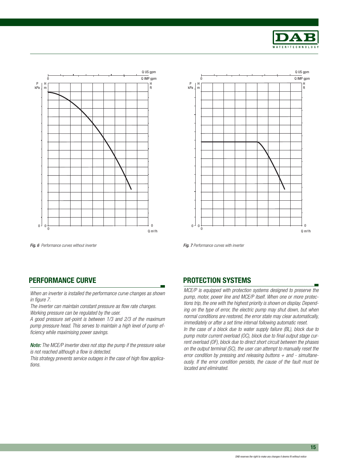





Fig. 6 Performance curves without inverter



## **PERFORMANCE CURVE**

When an inverter is installed the performance curve changes as shown in figure 7.

The inverter can maintain constant pressure as flow rate changes. Working pressure can be regulated by the user.

A good pressure set-point is between 1/3 and 2/3 of the maximum pump pressure head. This serves to maintain a high level of pump efficiency while maximising power savings.

Note: The MCE/P inverter does not stop the pump if the pressure value is not reached although a flow is detected.

This strategy prevents service outages in the case of high flow applications.

## **PROTECTION SYSTEMS**

MCE/P is equipped with protection systems designed to preserve the pump, motor, power line and MCE/P itself. When one or more protections trip, the one with the highest priority is shown on display. Depending on the type of error, the electric pump may shut down, but when normal conditions are restored, the error state may clear automatically, immediately or after a set time interval following automatic reset.

In the case of a block due to water supply failure (BL), block due to pump motor current overload (OC), block due to final output stage current overload (OF), block due to direct short circuit between the phases on the output terminal (SC), the user can attempt to manually reset the error condition by pressing and releasing buttons  $+$  and  $-$  simultaneously. If the error condition persists, the cause of the fault must be located and eliminated.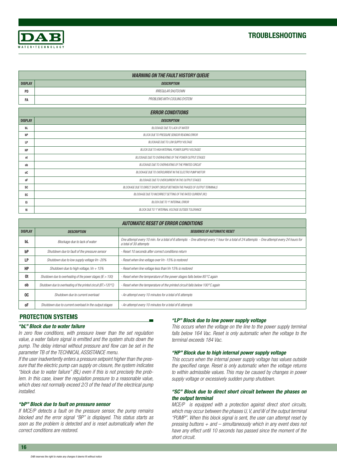

| <b>WARNING ON THE FAULT HISTORY QUEUE</b> |                                                                             |  |  |  |  |
|-------------------------------------------|-----------------------------------------------------------------------------|--|--|--|--|
| <b>DISPLAY</b>                            | <b>DESCRIPTION</b>                                                          |  |  |  |  |
| <b>PD</b>                                 | <b>IRREGULAR SHUTDOWN</b>                                                   |  |  |  |  |
| FA                                        | PROBLEMS WITH COOLING SYSTEM                                                |  |  |  |  |
|                                           | <b>ERROR CONDITIONS</b>                                                     |  |  |  |  |
| <b>DISPLAY</b>                            | <b>DESCRIPTION</b>                                                          |  |  |  |  |
| bL                                        | <b>BLOCKAGE DUE TO LACK OF WATER</b>                                        |  |  |  |  |
| bP                                        | BLOCK DUE TO PRESSURE SENSOR READING ERROR                                  |  |  |  |  |
| LP                                        | BLOCKAGE DUE TO LOW SUPPLY VOLTAGE                                          |  |  |  |  |
| HP                                        | BLOCK DUE TO HIGH INTERNAL POWER SUPPLY VOLTAGEE                            |  |  |  |  |
| ot                                        | BLOCKAGE DUE TO OVERHEATING OF THE POWER OUTPUT STAGES                      |  |  |  |  |
| ob                                        | BLOCKAGE DUE TO OVERHEATING OF THE PRINTED CIRCUIT                          |  |  |  |  |
| оC                                        | BLOCKAGE DUE TO OVERCURRENT IN THE ELECTRO PUMP MOTOR                       |  |  |  |  |
| 0F                                        | BLOCKAGE DUE TO OVERCURRENT IN THE OUTPUT STAGES                            |  |  |  |  |
| SC                                        | BLOCKAGE DUE TO DIRECT SHORT CIRCUIT BETWEEN THE PHASES OF OUTPUT TERMINALS |  |  |  |  |
| EC                                        | BLOCKAGE DUE TO INCORRECT SETTING OF THE RATED CURRENT (RC)                 |  |  |  |  |
| Ei                                        | BLOCK DUE TO "I" INTERNAL ERROR                                             |  |  |  |  |
| Vi                                        | BLOCK DUE TO "I" INTERNAL VOLTAGE OUTSIDE TOLERANCE                         |  |  |  |  |

| <b>AUTOMATIC RESET OF ERROR CONDITIONS</b> |                                                                |                                                                                                                                                                      |  |  |
|--------------------------------------------|----------------------------------------------------------------|----------------------------------------------------------------------------------------------------------------------------------------------------------------------|--|--|
| <b>DISPLAY</b>                             | <b>DESCRIPTION</b>                                             | <b>SEQUENCE OF AUTOMATIC RESET</b>                                                                                                                                   |  |  |
| bL                                         | Blockage due to lack of water                                  | One attempt every 10 min. for a total of 6 attempts - One attempt every 1 hour for a total of 24 attempts - One attempt every 24 hours for<br>a total of 30 attempts |  |  |
| bP                                         | Shutdown due to fault of the pressure sensor                   | - Reset 10 seconds after correct conditions return                                                                                                                   |  |  |
| LP                                         | Shutdown due to low supply voltage Vn -20%                     | - Reset when line voltage over Vn -15% is restored                                                                                                                   |  |  |
| HP                                         | Shutdown due to high voltage, $Vn + 15%$                       | - Reset when line voltage less than Vn 15% is restored                                                                                                               |  |  |
| 0t                                         | Shutdown due to overheating of the power stages ( $tE > 100$ ) | - Reset when the temperature of the power stages falls below 85°C again                                                                                              |  |  |
| ob                                         | Shutdown due to overheating of the printed circuit (BT>120°C)  | - Reset when the temperature of the printed circuit falls below 100°C again                                                                                          |  |  |
| OC.                                        | Shutdown due to current overload                               | - An attempt every 10 minutes for a total of 6 attempts                                                                                                              |  |  |
| οF                                         | Shutdown due to current overload in the output stages          | - An attempt every 10 minutes for a total of 6 attempts                                                                                                              |  |  |

## **PROTECTION SYSTEMS**

## *"bL" Block due to water failure*

In zero flow conditions, with pressure lower than the set regulation value, a water failure signal is emitted and the system shuts down the pump. The delay interval without pressure and flow can be set in the parameter TB of the TECHNICAL ASSISTANCE menu.

If the user inadvertently enters a pressure setpoint higher than the pressure that the electric pump can supply on closure, the system indicates "block due to water failure" (BL) even if this is not precisely the problem. In this case, lower the regulation pressure to a reasonable value, which does not normally exceed 2/3 of the head of the electrical pump installed.

## *"bP" Block due to fault on pressure sensor*

If MCE/P detects a fault on the pressure sensor, the pump remains blocked and the error signal "BP" is displayed. This status starts as soon as the problem is detected and is reset automatically when the correct conditions are restored.

## *"LP" Block due to low power supply voltage*

This occurs when the voltage on the line to the power supply terminal falls below 164 Vac. Reset is only automatic when the voltage to the terminal exceeds 184 Vac.

## *"HP" Block due to high internal power supply voltage*

This occurs when the internal power supply voltage has values outside the specified range. Reset is only automatic when the voltage returns to within admissible values. This may be caused by changes in power supply voltage or excessively sudden pump shutdown.

## *"SC" Block due to direct short circuit between the phases on the output terminal*

MCE/P is equipped with a protection against direct short circuits, which may occur between the phases U, V, and W of the output terminal "PUMP". When this block signal is sent, the user can attempt reset by pressing buttons  $+$  and  $-$  simultaneously which in any event does not have any effect until 10 seconds has passed since the moment of the short circuit.

**16**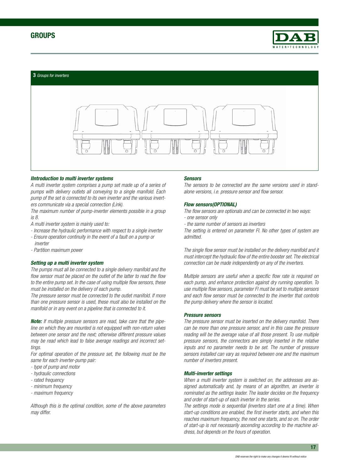



#### *IIntroduction to multi inverter systems*

A multi inverter system comprises a pump set made up of a series of pumps with delivery outlets all conveying to a single manifold. Each pump of the set is connected to its own inverter and the various inverters communicate via a special connection (Link).

The maximum number of pump-inverter elements possible in a group is 8.

A multi inverter system is mainly used to:

- Increase the hydraulic performance with respect to a single inverter
- Ensure operation continuity in the event of a fault on a pump or inverter
- Partition maximum power

### *Setting up a multi inverter system*

The pumps must all be connected to a single delivery manifold and the flow sensor must be placed on the outlet of the latter to read the flow to the entire pump set. In the case of using multiple flow sensors, these must be installed on the delivery of each pump.

The pressure sensor must be connected to the outlet manifold. If more than one pressure sensor is used, these must also be installed on the manifold or in any event on a pipeline that is connected to it.

*Note:* If multiple pressure sensors are read, take care that the pipeline on which they are mounted is not equipped with non-return valves between one sensor and the next; otherwise different pressure values may be read which lead to false average readings and incorrect settings.

For optimal operation of the pressure set, the following must be the same for each inverter-pump pair:

- type of pump and motor
- hydraulic connections
- rated frequency
- minimum frequency
- maximum frequency

Although this is the optimal condition, some of the above parameters may differ.

#### *Sensors*

The sensors to be connected are the same versions used in standalone versions, i.e. pressure sensor and flow sensor.

## *Flow sensors(OPTIONAL)*

The flow sensors are optionals and can be connected in two ways:

- one sensor only
- the same number of sensors as inverters

The setting is entered on parameter FI. No other types of system are admitted.

The single flow sensor must be installed on the delivery manifold and it must intercept the hydraulic flow of the entire booster set. The electrical connection can be made independently on any of the inverters.

Multiple sensors are useful when a specific flow rate is required on each pump, and enhance protection against dry running operation. To use multiple flow sensors, parameter FI must be set to multiple sensors and each flow sensor must be connected to the inverter that controls the pump delivery where the sensor is located.

#### *Pressure sensors*

The pressure sensor must be inserted on the delivery manifold. There can be more than one pressure sensor, and in this case the pressure reading will be the average value of all those present. To use multiple pressure sensors, the connectors are simply inserted in the relative inputs and no parameter needs to be set. The number of pressure sensors installed can vary as required between one and the maximum number of inverters present.

## *Multi-inverter settings*

When a multi inverter system is switched on, the addresses are assigned automatically and, by means of an algorithm, an inverter is nominated as the settings leader. The leader decides on the frequency and order of start-up of each inverter in the series.

The settings mode is sequential (inverters start one at a time). When start-up conditions are enabled, the first inverter starts, and when this reaches maximum frequency, the next one starts, and so on. The order of start-up is not necessarily ascending according to the machine address, but depends on the hours of operation.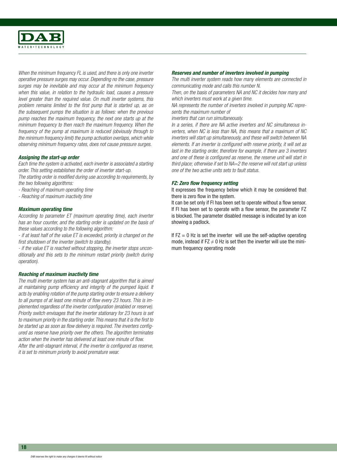

When the minimum frequency FL is used, and there is only one inverter operative pressure surges may occur. Depending no the case, pressure surges may be inevitable and may occur at the minimum frequency when this value, in relation to the hydraulic load, causes a pressure level greater than the required value. On multi inverter systems, this problem remains limited to the first pump that is started up, as on the subsequent pumps the situation is as follows: when the previous pump reaches the maximum frequency, the next one starts up at the minimum frequency to then reach the maximum frequency. When the frequency of the pump at maximum is reduced (obviously through to the minimum frequency limit) the pump activation overlaps, which while observing minimum frequency rates, does not cause pressure surges.

## *Assigning the start-up order*

Each time the system is activated, each inverter is associated a starting order. This setting establishes the order of inverter start-up. The starting order is modified during use according to requirements, by

the two following algorithms:

- Reaching of maximum operating time

- Reaching of maximum inactivity time

## *Maximum operating time*

According to parameter ET (maximum operating time), each inverter has an hour counter, and the starting order is updated on the basis of these values according to the following algorithm:

- if at least half of the value ET is exceeded, priority is changed on the first shutdown of the inverter (switch to standby).

- if the value ET is reached without stopping, the inverter stops unconditionally and this sets to the minimum restart priority (switch during operation).

## *Reaching of maximum inactivity time*

The multi inverter system has an anti-stagnant algorithm that is aimed at maintaining pump efficiency and integrity of the pumped liquid. It acts by enabling rotation of the pump starting order to ensure a delivery to all pumps of at least one minute of flow every 23 hours. This is implemented regardless of the inverter configuration (enabled or reserve). Priority switch envisages that the inverter stationary for 23 hours is set to maximum priority in the starting order. This means that it is the first to be started up as soon as flow delivery is required. The inverters configured as reserve have priority over the others. The algorithm terminates action when the inverter has delivered at least one minute of flow. After the anti-stagnant interval, if the inverter is configured as reserve, it is set to minimum priority to avoid premature wear.

## *Reserves and number of inverters involved in pumping*

The multi inverter system reads how many elements are connected in communicating mode and calls this number N.

Then, on the basis of parameters NA and NC it decides how many and which inverters must work at a given time.

NA represents the number of inverters involved in pumping NC represents the maximum number of

inverters that can run simultaneously.

In a series, if there are NA active inverters and NC simultaneous inverters, when NC is less than NA, this means that a maximum of NC inverters will start up simultaneously, and these will switch between NA elements. If an inverter is configured with reserve priority, it will set as last in the starting order, therefore for example, if there are 3 inverters and one of these is configured as reserve, the reserve unit will start in third place; otherwise if set to NA=2 the reserve will not start up unless one of the two active units sets to fault status.

#### *FZ: Zero flow frequency setting*

It expresses the frequency below which it may be considered that there is zero flow in the system.

It can be set only if FI has been set to operate without a flow sensor. If FI has been set to operate with a flow sensor, the parameter FZ is blocked. The parameter disabled message is indicated by an icon showing a padlock.

If  $FZ = 0$  Hz is set the inverter will use the self-adaptive operating mode, instead if FZ  $\neq$  0 Hz is set then the inverter will use the minimum frequency operating mode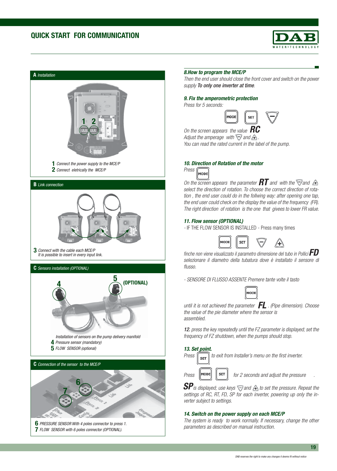

## **A** Installation



Connect the power supply to the MCE/P **1 2** Connect eletrically the MCE/F

## **B** Link connection



**3** Connect with the cable each MCE/F It is possible to insert in every input link.

#### **C** Sensors installation (OPTIONAL)



# **C** Connection of the sensor to the MCE/P



#### *8.How to program the MCE/P*

Then the end user should close the front cover and switch on the power supply To only one inverter at time.

#### *9. Fix the amperometric protection*

Press for 5 seconds:



On the screen appears the value *RC* Adjust the amperage with  $\bigtriangledown$  and  $\bigtriangleup$ . You can read the rated current in the label of the pump.

## *10. Direction of Rotation of the motor*



On the screen appears the parameter  $RT$  and with the  $\triangledown$  and select the direction of rotation. To choose the correct direction of rotation , the end user could do in the follwing way: after opening one tap, the end user could check on the display the value of the frequency (FR). The right direction of rotation is the one that givees to lower FR value.

## *11. Flow sensor (OPTIONAL)*

- IF THE FLOW SENSOR IS INSTALLED - Press many times



finche non viene visualizzato il parametro dimensione del tubo in Pollici **FD** selezionare il diametro della tubatura dove è installato il sensore di flusso.

- SENSORE DI FLUSSO ASSENTE Premere tante volte il tasto



until it is not achieved the parameter **FL** . (Pipe dimension). Choose the value of the pie diameter where the sensor is assembled.

12. press the key repeatedly until the FZ parameter is displayed; set the frequency of FZ shutdown, when the pumps should stop.

## *13. Set point.*



Press  $\left\lceil \frac{1}{\mathsf{SET}} \right\rceil$  to exit from Installer's menu on the first inverter.



Press  $\Vert$ **MODE** $\Vert$  **SET**  $\Vert$  for 2 seconds and adjust the pressure

 $\textit{SP}$  is displayed; use keys  $\bigtriangledown$  and  $\bigtriangleup$  to set the pressure. Repeat the settings of RC, RT, FD, SP for each inverter, powering up only the inverter subject to settings.

## *14. Switch on the power supply on each MCE/P*

The system is ready to work normally. If necessary, change the other parameters as described on manual instruction.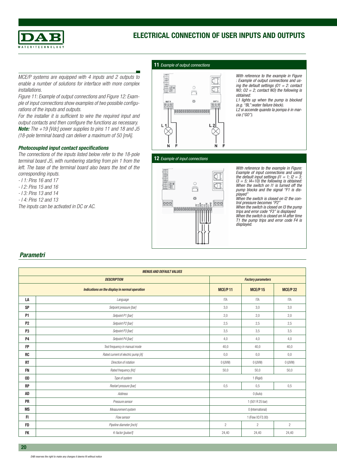

## **ELECTRICAL CONNECTION OF USER INPUTS AND OUTPUTS**

MCE/P systems are equipped with 4 inputs and 2 outputs to enable a number of solutions for interface with more complex installations.

Figure 11: Example of output connections and Figure 12: Example of input connections show examples of two possible configurations of the inputs and outputs.

For the installer it is sufficient to wire the required input and output contacts and then configure the functions as necessary. *Note:* The +19 [Vdc] power supplies to pins 11 and 18 and J5 (18-pole terminal board) can deliver a maximum of 50 [mA].

## **Photocoupled input contact specifications**

The connections of the inputs listed below refer to the 18-pole terminal board J5, with numbering starting from pin 1 from the left. The base of the terminal board also bears the text of the corresponding inputs.

- I 1: Pins 16 and 17

- I 2: Pins 15 and 16
- I 3: Pins 13 and 14
- I 4: Pins 12 and 13

The inputs can be activated in DC or AC.



With reference to the example in Figure : Example of output connections and using the default settings  $(01 = 2$ : contact NO;  $02 = 2$ ; contact NO) the following is obtained:

L1 lights up when the pump is blocked (e.g. "BL":water failure block).

L2 si accende quando la pompa è in marcia ("GO").

## **12** Example of input connections



With reference to the example in Figure: Example of input connections and using the default input settings  $(11 = 1; 12 = 3;$  $I3 = 5$ ;  $I4=10$ ) the following is obtained:  $W$  is the switch on  $H$  is turned off the pump blocks and the signal "F1 is displayed"

When the switch is closed on I2 the control pressure becomes "P2" When the switch is closed on I3 the pump trips and error code "F3" is displayed When the switch is closed on I4 after time T1 the pump trips and error code F4 is displayed.

## *Parametri*

| <b>MENUS AND DEFAULT VALUES</b> |                                                |                                                    |                |                |
|---------------------------------|------------------------------------------------|----------------------------------------------------|----------------|----------------|
|                                 | <b>DESCRIPTION</b>                             | <b>Factory parameters</b>                          |                |                |
|                                 | Indications on the display in normal operation | MCE/P11                                            | <b>MCE/P15</b> | <b>MCE/P22</b> |
| LA                              | Language                                       | <b>ITA</b>                                         | <b>ITA</b>     | <b>ITA</b>     |
| <b>SP</b>                       | Setpoint pressure [bar]                        | 3,0                                                | 3,0            | 3,0            |
| P <sub>1</sub>                  | Setpoint P1 [bar]                              | 2,0                                                | 2,0            | 2,0            |
| P <sub>2</sub>                  | Setpoint P2 [bar]                              | 2,5                                                | 2,5            | 2,5            |
| P <sub>3</sub>                  | Setpoint P3 [bar]                              | 3,5                                                | 3,5            | 3,5            |
| <b>P4</b>                       | Setpoint P4 [bar]                              |                                                    | 4,0            | 4,0            |
| <b>FP</b>                       | Test frequency in manual mode                  |                                                    | 40,0           | 40,0           |
| <b>RC</b>                       | Rated current of electric pump [A]             |                                                    | 0,0            | 0,0            |
| <b>RT</b>                       | Direction of rotation                          | $0$ (UVW)<br>$0$ (UVW)                             |                | $0$ (UVW)      |
| <b>FN</b>                       | Rated frequency [Hz]                           | 50,0                                               | 50,0           | 50,0           |
| <b>OD</b>                       | Type of system                                 | 1 (Rigid)                                          |                |                |
| <b>RP</b>                       | Restart pressure [bar]                         | 0,5                                                | 0,5            | 0,5            |
| AD                              | Address                                        | 0 (Auto)                                           |                |                |
| <b>PR</b>                       | Pressure sensor                                | 1 (501 R 25 bar)                                   |                |                |
| <b>MS</b>                       | Measurement system                             | 0 (International)                                  |                |                |
| FI.                             | Flow sensor                                    | 1 (Flow X3 F3.00)                                  |                |                |
| <b>FD</b>                       | Pipeline diameter [inch]                       | $\overline{c}$<br>$\overline{c}$<br>$\overline{2}$ |                |                |
| <b>FK</b>                       | K-factor [pulse/l]                             | 24,40                                              | 24,40          | 24,40          |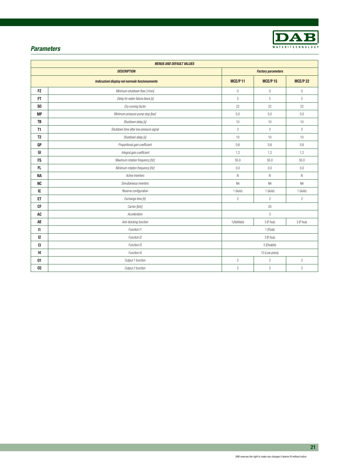

## *Parameters*

| <b>MENUS AND DEFAULT VALUES</b> |                                               |                                                    |                |                |
|---------------------------------|-----------------------------------------------|----------------------------------------------------|----------------|----------------|
|                                 | <b>DESCRIPTION</b>                            | <b>Factory parameters</b>                          |                |                |
|                                 | Indicazioni display nel normale funzionamento | <b>MCE/P11</b>                                     | <b>MCE/P15</b> | <b>MCE/P22</b> |
| FZ                              | Minimum shutdown flow [ Vmin]                 | $\,0\,$                                            | $\mathbb O$    | $\mathbb O$    |
| <b>FT</b>                       | Delay for water failure block [s]             | 5                                                  | $5\,$          | $\sqrt{5}$     |
| S <sub>0</sub>                  | Dry running factor                            | 22                                                 | 22             | 22             |
| <b>MP</b>                       | Minimum pressure pump stop [bar]              | 0,0                                                | 0,0            | 0,0            |
| TB                              | Shutdown delay [s]                            | 10                                                 | 10             | 10             |
| T1                              | Shutdown time after low pressure signal       | $\overline{c}$<br>$\overline{2}$<br>$\overline{c}$ |                |                |
| T <sub>2</sub>                  | Shutdown delay [s]                            | 10<br>10<br>10                                     |                |                |
| GP                              | Proportional gain coefficient<br>0,6          |                                                    | 0,6            | 0,6            |
| GI                              | Integral gain coefficient                     | 1,2                                                | 1,2            | 1,2            |
| <b>FS</b>                       | Maximum rotation frequency [Hz]               |                                                    | 50,0           | 50,0           |
| FL.                             | Minimum rotation frequency [Hz]               | 0,0                                                | 0,0            | 0,0            |
| <b>NA</b>                       | Active inverters                              | N<br>${\sf N}$<br>N                                |                |                |
| <b>NC</b>                       | Simultaneous inverters                        | <b>NA</b><br><b>NA</b><br><b>NA</b>                |                |                |
| IC                              | Reserve configuration                         | 1 (Auto)                                           | 1 (Auto)       | 1 (Auto)       |
| ET                              | Exchange time [h]                             | $\overline{c}$<br>$\overline{c}$<br>$\overline{c}$ |                |                |
| <b>CF</b>                       | Carrier [kHz]                                 |                                                    | $20\,$         |                |
| AC                              | Acceleration                                  | $\,3$                                              |                |                |
| <b>AE</b>                       | Anti-blocking function                        | 1(Abilitato)<br>3 (P Aux)                          |                | 3 (P Aux)      |
| $\mathsf{I}$                    | Function 11                                   | 1 (Float)                                          |                |                |
| 12                              | Function 12                                   | 3 (P Aux)                                          |                |                |
| 13                              | Function 13                                   | 5 (Disable)                                        |                |                |
| 4                               | Function 14                                   | 10 (Low press)                                     |                |                |
| 01                              | Output 1 function                             | $\overline{c}$                                     | $\mathbf{2}$   | $\overline{c}$ |
| 02                              | Output 2 function                             | $\overline{c}$                                     | $\sqrt{2}$     | $\overline{c}$ |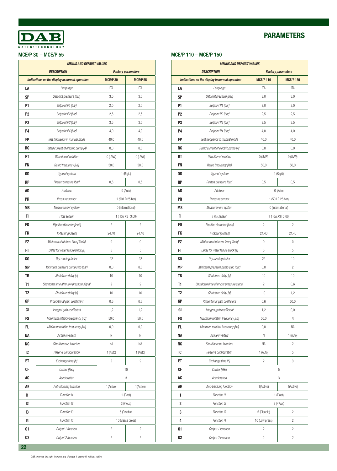

MCE/P 30 – MCE/P 55 MCE/P 110 – MCE/P 150

|                | <b>MENUS AND DEFAULT VALUES</b>                |                               |                           |  |  |
|----------------|------------------------------------------------|-------------------------------|---------------------------|--|--|
|                | <b>DESCRIPTION</b>                             |                               | <b>Factory parameters</b> |  |  |
|                | Indications on the display in normal operation | <b>MCE/P110</b>               | <b>MCE/P 150</b>          |  |  |
| LA             | Language                                       | <b>ITA</b>                    | ITA                       |  |  |
| <b>SP</b>      | Setpoint pressure [bar]                        | 3,0                           | 3,0                       |  |  |
| P1             | Setpoint P1 [bar]                              | 2,0                           | 2,0                       |  |  |
| P2             | Setpoint P2 [bar]                              | 2,5                           | 2,5                       |  |  |
| P3             | Setpoint P3 [bar]                              | 3,5                           | 3,5                       |  |  |
| P4             | Setpoint P4 [bar]                              | 4,0                           | 4,0                       |  |  |
| <b>FP</b>      | Test frequency in manual mode                  | 40,0                          | 40,0                      |  |  |
| <b>RC</b>      | Rated current of electric pump [A]             | 0,0                           | 0,0                       |  |  |
| RT             | Direction of rotation                          | $0$ (UVW)                     | $0$ (UVW)                 |  |  |
| FN             | Rated frequency [Hz]                           | 50,0                          | 50,0                      |  |  |
| OD             | Type of system                                 |                               | 1 (Rigid)                 |  |  |
| <b>RP</b>      | Restart pressure [bar]                         | 0,5                           | 0,5                       |  |  |
| AD             | Address                                        |                               | 0 (Auto)                  |  |  |
| PR             | Pressure sensor                                |                               | 1 (501 R 25 bar)          |  |  |
| <b>MS</b>      | Measurement system                             |                               | 0 (International)         |  |  |
| FI.            | Flow sensor                                    |                               | 1 (Flow X3 F3.00)         |  |  |
| FD             | Pipeline diameter [inch]                       | $\overline{c}$                | $\overline{c}$            |  |  |
| FK             | K-factor [pulse/l]                             | 24,40                         | 24,40                     |  |  |
| FZ             | Minimum shutdown flow [ l/min]                 | 0                             | $\boldsymbol{0}$          |  |  |
| FT             | Delay for water failure block [s]              | 5                             | 5                         |  |  |
| S <sub>0</sub> | Dry running factor                             | 22                            | 10                        |  |  |
| МP             | Minimum pressure pump stop [bar]               | 0,0                           | $\overline{c}$            |  |  |
| TB             | Shutdown delay [s]                             | 10                            | 10                        |  |  |
| T <sub>1</sub> | Shutdown time after low pressure signal        | $\overline{c}$                | 0,6                       |  |  |
| T2             | Shutdown delay [s]                             | 10                            | 1,2                       |  |  |
| GP             | Proportional gain coefficient                  | 0,6                           | 50,0                      |  |  |
| GI             | Integral gain coefficient                      | 1,2                           | 0,0                       |  |  |
| FS             | Maximum rotation frequency [Hz]                | 50,0                          | Ν                         |  |  |
| FL.            | Minimum rotation frequency [Hz]                | 0,0                           | ΝA                        |  |  |
| ΝA             | Active inverters                               | Ν                             | 1 (Auto)                  |  |  |
| <b>NC</b>      | Simultaneous inverters                         | ΝA                            | $\overline{c}$            |  |  |
| IC             | Reserve configuration                          | 1 (Auto)                      | 5                         |  |  |
| ET             | Exchange time [h]                              | $\overline{c}$                | 3                         |  |  |
| CF             | Carrier [kHz]                                  | 5                             |                           |  |  |
| AC             | Acceleration                                   | 3                             |                           |  |  |
| AE             | Anti-blocking function                         | 1(Active)<br>1(Active)        |                           |  |  |
| I1             | Function I1                                    | 1 (Float)                     |                           |  |  |
| 12             | Function I2                                    | 3 (P Aux)                     |                           |  |  |
| 13             | Function 13                                    | 5 (Disable)<br>$\overline{c}$ |                           |  |  |
| 14             | Function 14                                    | 10 (Low press)                | $\overline{c}$            |  |  |
| 01             | Output 1 function                              | 2                             | $\overline{c}$            |  |  |
|                |                                                |                               |                           |  |  |

|  | MCF/P 30 - MCF/P 55. |  |
|--|----------------------|--|

| <b>MENUS AND DEFAULT VALUES</b> |                                                |                           |                   |  |  |
|---------------------------------|------------------------------------------------|---------------------------|-------------------|--|--|
|                                 | <b>DESCRIPTION</b>                             | <b>Factory parameters</b> |                   |  |  |
|                                 | Indications on the display in normal operation | <b>MCE/P 30</b>           | <b>MCE/P 55</b>   |  |  |
| LA                              | Language                                       | ITA                       | ITA               |  |  |
| <b>SP</b>                       | Setpoint pressure [bar]                        | 3,0                       | 3,0               |  |  |
| P1                              | Setpoint P1 [bar]                              | 2,0                       | 2,0               |  |  |
| P2                              | Setpoint P2 [bar]                              | 2,5                       | 2,5               |  |  |
| P3                              | Setpoint P3 [bar]                              | 3,5                       | 3,5               |  |  |
| P4                              | Setpoint P4 [bar]                              | 4,0                       | 4,0               |  |  |
| <b>FP</b>                       | Test frequency in manual mode                  | 40,0                      | 40,0              |  |  |
| RC                              | Rated current of electric pump [A]             | 0,0                       | $_{0,0}$          |  |  |
| RT                              | Direction of rotation                          | $0$ (UVW)                 | $0$ (UVW)         |  |  |
| FN                              | Rated frequency [Hz]                           | 50,0                      | 50,0              |  |  |
| OD                              | Type of system                                 |                           | 1 (Rigid)         |  |  |
| RP                              | Restart pressure [bar]                         | 0,5                       | 0,5               |  |  |
| AD                              | Address                                        |                           | 0 (Auto)          |  |  |
| PR                              | Pressure sensor                                |                           | 1 (501 R 25 bar)  |  |  |
| <b>MS</b>                       | Measurement system                             |                           | 0 (International) |  |  |
| FI                              | Flow sensor                                    |                           | 1 (Flow X3 F3.00) |  |  |
| FD                              | Pipeline diameter [inch]                       | 2                         | $\overline{c}$    |  |  |
| FK                              | K-factor [pulse/l]                             | 24,40                     | 24,40             |  |  |
| FZ                              | Minimum shutdown flow [ I/min]                 | 0                         | 0                 |  |  |
| FT                              | Delay for water failure block [s]              | 5                         | 5                 |  |  |
| S <sub>0</sub>                  | Dry running factor                             | 22                        | 22                |  |  |
| ΜP                              | Minimum pressure pump stop [bar]               | 0,0                       | $_{0,0}$          |  |  |
| TB                              | Shutdown delay [s]                             | 10                        | 10                |  |  |
| T1                              | Shutdown time after low pressure signal        | 2                         | $\overline{c}$    |  |  |
| T2                              | Shutdown delay [s]                             | 10                        | 10                |  |  |
| GP                              | Proportional gain coefficient                  | 0,6                       | $_{0,6}$          |  |  |
| GI                              | Integral gain coefficient                      | 1,2                       | 1,2               |  |  |
| FS                              | Maximum rotation frequency [Hz]                | 50,0                      | 50,0              |  |  |
| FL.                             | Minimum rotation frequency [Hz]                | 0,0                       | $_{0,0}$          |  |  |
| NΑ                              | Active inverters                               | Ν                         | Ν                 |  |  |
| NC                              | Simultaneous inverters                         | ΝA                        | NA                |  |  |
| IC                              | Reserve configuration                          | 1 (Auto)                  | 1 (Auto)          |  |  |
| ET                              | Exchange time [h]                              | $\overline{\mathbf{c}}$   | $\overline{c}$    |  |  |
| <b>CF</b>                       | Carrier [kHz]                                  | 10                        |                   |  |  |
| AC                              | Acceleration                                   | 3                         |                   |  |  |
| AE<br>Anti-blocking function    |                                                | 1(Active)                 | 1(Active)         |  |  |
| I1                              | Function I1                                    | 1 (Float)                 |                   |  |  |
| I2                              | Function I2                                    | 3 (P Aux)                 |                   |  |  |
| 13                              | Function 13                                    | 5 (Disable)               |                   |  |  |
| 14                              | Function 14                                    | 10 (Bassa press)          |                   |  |  |
| 01                              | Output 1 function                              | 2                         | 2                 |  |  |
| 02                              | Output 2 function                              | 2                         | $\overline{c}$    |  |  |
| 22                              |                                                |                           |                   |  |  |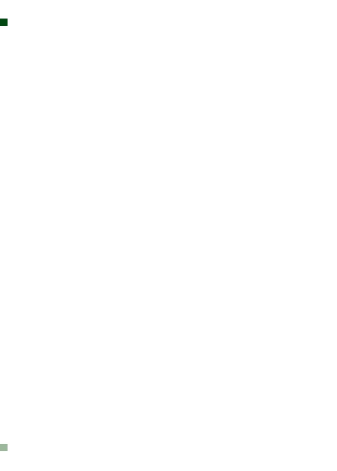